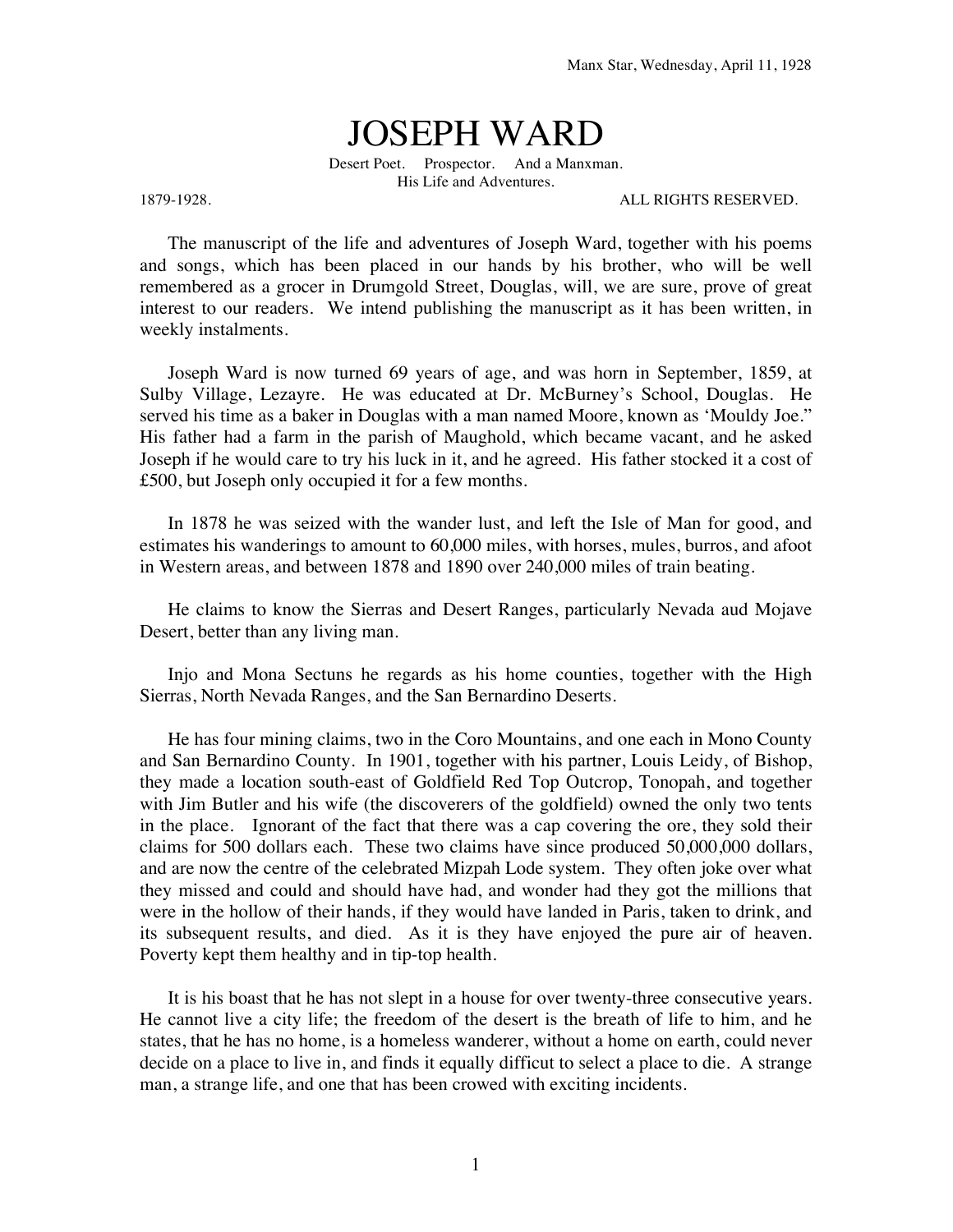## JOSEPH WARD

Desert Poet. Prospector. And a Manxman. His Life and Adventures.

1879-1928. ALL RIGHTS RESERVED.

The manuscript of the life and adventures of Joseph Ward, together with his poems and songs, which has been placed in our hands by his brother, who will be well remembered as a grocer in Drumgold Street, Douglas, will, we are sure, prove of great interest to our readers. We intend publishing the manuscript as it has been written, in weekly instalments.

Joseph Ward is now turned 69 years of age, and was horn in September, 1859, at Sulby Village, Lezayre. He was educated at Dr. McBurney's School, Douglas. He served his time as a baker in Douglas with a man named Moore, known as 'Mouldy Joe." His father had a farm in the parish of Maughold, which became vacant, and he asked Joseph if he would care to try his luck in it, and he agreed. His father stocked it a cost of £500, but Joseph only occupied it for a few months.

In 1878 he was seized with the wander lust, and left the Isle of Man for good, and estimates his wanderings to amount to 60,000 miles, with horses, mules, burros, and afoot in Western areas, and between 1878 and 1890 over 240,000 miles of train beating.

He claims to know the Sierras and Desert Ranges, particularly Nevada aud Mojave Desert, better than any living man.

Injo and Mona Sectuns he regards as his home counties, together with the High Sierras, North Nevada Ranges, and the San Bernardino Deserts.

He has four mining claims, two in the Coro Mountains, and one each in Mono County and San Bernardino County. In 1901, together with his partner, Louis Leidy, of Bishop, they made a location south-east of Goldfield Red Top Outcrop, Tonopah, and together with Jim Butler and his wife (the discoverers of the goldfield) owned the only two tents in the place. Ignorant of the fact that there was a cap covering the ore, they sold their claims for 500 dollars each. These two claims have since produced 50,000,000 dollars, and are now the centre of the celebrated Mizpah Lode system. They often joke over what they missed and could and should have had, and wonder had they got the millions that were in the hollow of their hands, if they would have landed in Paris, taken to drink, and its subsequent results, and died. As it is they have enjoyed the pure air of heaven. Poverty kept them healthy and in tip-top health.

It is his boast that he has not slept in a house for over twenty-three consecutive years. He cannot live a city life; the freedom of the desert is the breath of life to him, and he states, that he has no home, is a homeless wanderer, without a home on earth, could never decide on a place to live in, and finds it equally difficut to select a place to die. A strange man, a strange life, and one that has been crowed with exciting incidents.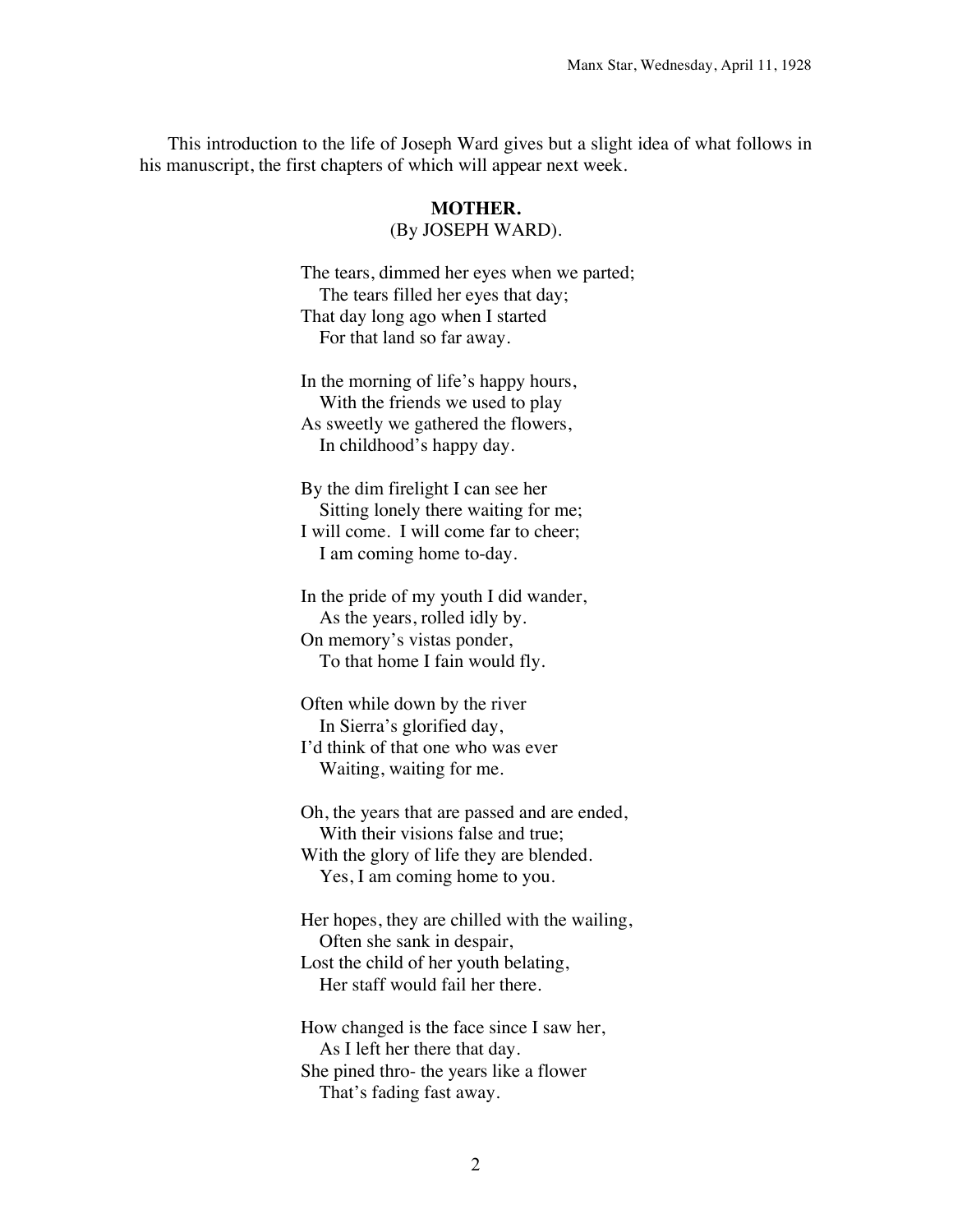This introduction to the life of Joseph Ward gives but a slight idea of what follows in his manuscript, the first chapters of which will appear next week.

## **MOTHER.** (By JOSEPH WARD).

The tears, dimmed her eyes when we parted; The tears filled her eyes that day; That day long ago when I started For that land so far away.

In the morning of life's happy hours, With the friends we used to play As sweetly we gathered the flowers, In childhood's happy day.

By the dim firelight I can see her Sitting lonely there waiting for me; I will come. I will come far to cheer; I am coming home to-day.

In the pride of my youth I did wander, As the years, rolled idly by. On memory's vistas ponder, To that home I fain would fly.

Often while down by the river In Sierra's glorified day, I'd think of that one who was ever Waiting, waiting for me.

Oh, the years that are passed and are ended, With their visions false and true; With the glory of life they are blended. Yes, I am coming home to you.

Her hopes, they are chilled with the wailing, Often she sank in despair, Lost the child of her youth belating, Her staff would fail her there.

How changed is the face since I saw her, As I left her there that day. She pined thro- the years like a flower That's fading fast away.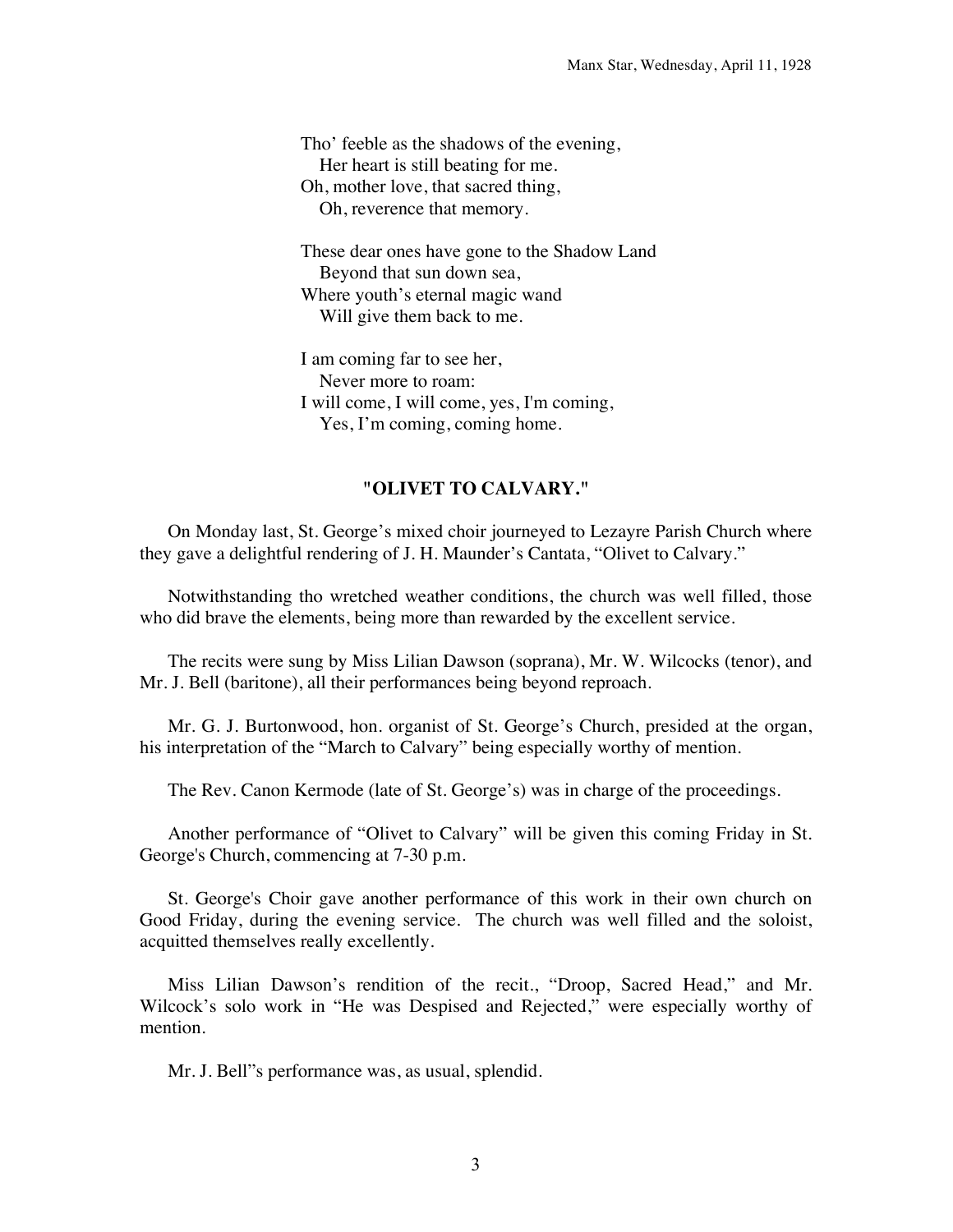Tho' feeble as the shadows of the evening, Her heart is still beating for me. Oh, mother love, that sacred thing, Oh, reverence that memory.

These dear ones have gone to the Shadow Land Beyond that sun down sea, Where youth's eternal magic wand Will give them back to me.

I am coming far to see her, Never more to roam: I will come, I will come, yes, I'm coming, Yes, I'm coming, coming home.

## **"OLIVET TO CALVARY."**

On Monday last, St. George's mixed choir journeyed to Lezayre Parish Church where they gave a delightful rendering of J. H. Maunder's Cantata, "Olivet to Calvary."

Notwithstanding tho wretched weather conditions, the church was well filled, those who did brave the elements, being more than rewarded by the excellent service.

The recits were sung by Miss Lilian Dawson (soprana), Mr. W. Wilcocks (tenor), and Mr. J. Bell (baritone), all their performances being beyond reproach.

Mr. G. J. Burtonwood, hon. organist of St. George's Church, presided at the organ, his interpretation of the "March to Calvary" being especially worthy of mention.

The Rev. Canon Kermode (late of St. George's) was in charge of the proceedings.

Another performance of "Olivet to Calvary" will be given this coming Friday in St. George's Church, commencing at 7-30 p.m.

St. George's Choir gave another performance of this work in their own church on Good Friday, during the evening service. The church was well filled and the soloist, acquitted themselves really excellently.

Miss Lilian Dawson's rendition of the recit., "Droop, Sacred Head," and Mr. Wilcock's solo work in "He was Despised and Rejected," were especially worthy of mention.

Mr. J. Bell"s performance was, as usual, splendid.